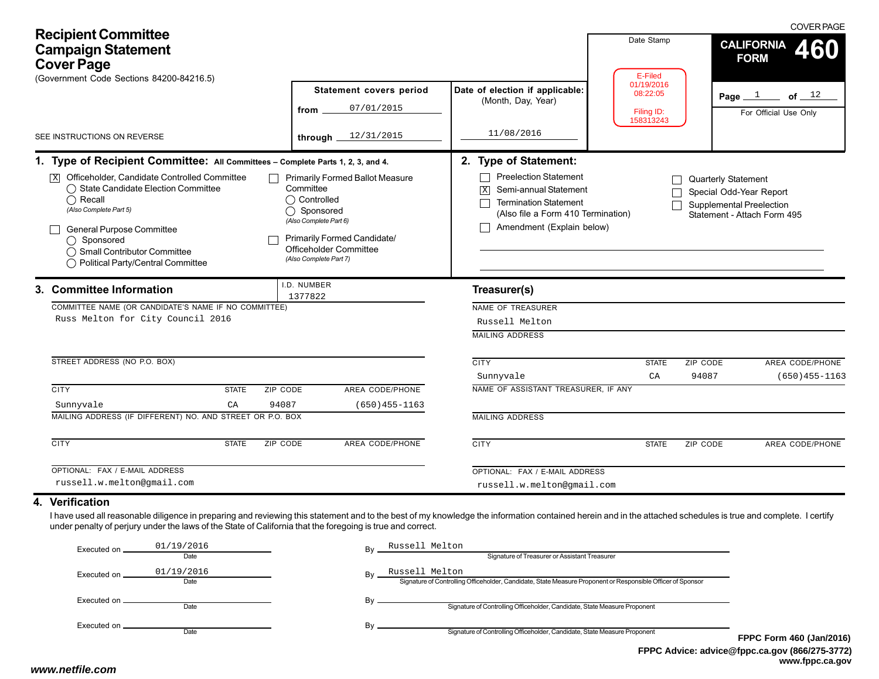| <b>Recipient Committee</b><br><b>Campaign Statement</b><br><b>Cover Page</b><br>(Government Code Sections 84200-84216.5)                                                                                                                                                                                                                                                                                                                                                                                                                                                                                                                                                                                                    |                                                                                 |                                                                                                                                                                                                                                                                                  | Date Stamp<br>E-Filed                             | <b>COVER PAGE</b><br><b>CALIFORNIA</b><br>460<br><b>FORM</b>                                              |
|-----------------------------------------------------------------------------------------------------------------------------------------------------------------------------------------------------------------------------------------------------------------------------------------------------------------------------------------------------------------------------------------------------------------------------------------------------------------------------------------------------------------------------------------------------------------------------------------------------------------------------------------------------------------------------------------------------------------------------|---------------------------------------------------------------------------------|----------------------------------------------------------------------------------------------------------------------------------------------------------------------------------------------------------------------------------------------------------------------------------|---------------------------------------------------|-----------------------------------------------------------------------------------------------------------|
| SEE INSTRUCTIONS ON REVERSE                                                                                                                                                                                                                                                                                                                                                                                                                                                                                                                                                                                                                                                                                                 | <b>Statement covers period</b><br>07/01/2015<br>from<br>12/31/2015<br>through _ | Date of election if applicable:<br>(Month, Day, Year)<br>11/08/2016                                                                                                                                                                                                              | 01/19/2016<br>08:22:05<br>Filing ID:<br>158313243 | Page $1$<br>of $\_$ $12$<br>For Official Use Only                                                         |
| 1. Type of Recipient Committee: All Committees - Complete Parts 1, 2, 3, and 4.<br>Officeholder, Candidate Controlled Committee<br><b>Primarily Formed Ballot Measure</b><br>$\sqrt{X}$<br>◯ State Candidate Election Committee<br>Committee<br>◯ Controlled<br>$\bigcap$ Recall<br>(Also Complete Part 5)<br>◯ Sponsored<br>(Also Complete Part 6)<br>General Purpose Committee<br><b>Primarily Formed Candidate/</b><br>$\bigcap$ Sponsored<br>Officeholder Committee<br>◯ Small Contributor Committee<br>(Also Complete Part 7)<br>◯ Political Party/Central Committee<br>.D. NUMBER<br>3. Committee Information<br>1377822<br>COMMITTEE NAME (OR CANDIDATE'S NAME IF NO COMMITTEE)<br>Russ Melton for City Council 2016 |                                                                                 | 2. Type of Statement:<br><b>Preelection Statement</b><br>Semi-annual Statement<br>$\sqrt{X}$<br><b>Termination Statement</b><br>(Also file a Form 410 Termination)<br>Amendment (Explain below)<br>Treasurer(s)<br>NAME OF TREASURER<br>Russell Melton<br><b>MAILING ADDRESS</b> |                                                   | Quarterly Statement<br>Special Odd-Year Report<br>Supplemental Preelection<br>Statement - Attach Form 495 |
| STREET ADDRESS (NO P.O. BOX)<br><b>CITY</b><br>ZIP CODE<br><b>STATE</b><br>94087<br>Sunnyvale<br>CA<br>MAILING ADDRESS (IF DIFFERENT) NO. AND STREET OR P.O. BOX                                                                                                                                                                                                                                                                                                                                                                                                                                                                                                                                                            | AREA CODE/PHONE<br>$(650)455 - 1163$                                            | <b>CITY</b><br>Sunnyvale<br>NAME OF ASSISTANT TREASURER, IF ANY<br><b>MAILING ADDRESS</b>                                                                                                                                                                                        | <b>STATE</b><br>CA                                | ZIP CODE<br>AREA CODE/PHONE<br>94087<br>$(650)455 - 1163$                                                 |
| <b>CITY</b><br><b>STATE</b><br><b>ZIP CODE</b><br>OPTIONAL: FAX / E-MAIL ADDRESS<br>russell.w.melton@gmail.com                                                                                                                                                                                                                                                                                                                                                                                                                                                                                                                                                                                                              | <b>AREA CODE/PHONE</b>                                                          | <b>CITY</b><br>OPTIONAL: FAX / E-MAIL ADDRESS<br>russell.w.melton@gmail.com                                                                                                                                                                                                      | <b>STATE</b>                                      | ZIP CODE<br>AREA CODE/PHONE                                                                               |
| 4. Verification<br>I have used all reasonable diligence in preparing and reviewing this statement and to the best of my knowledge the information contained herein and in the attached schedules is true and complete. I certify<br>under penalty of perjury under the laws of the State of California that the foregoing is true and correct.                                                                                                                                                                                                                                                                                                                                                                              |                                                                                 |                                                                                                                                                                                                                                                                                  |                                                   |                                                                                                           |

| Executed on   | 01/19/2016<br>Date | Russell Melton<br>Bv<br>Signature of Treasurer or Assistant Treasurer                                                               |           |
|---------------|--------------------|-------------------------------------------------------------------------------------------------------------------------------------|-----------|
| Executed on   | 01/19/2016<br>Date | Russell Melton<br>Bv<br>Signature of Controlling Officeholder, Candidate, State Measure Proponent or Responsible Officer of Sponsor |           |
| Executed on _ | Date               | Signature of Controlling Officeholder, Candidate, State Measure Proponent                                                           |           |
|               | Date               | Signature of Controlling Officeholder, Candidate, State Measure Proponent                                                           | <b>FP</b> |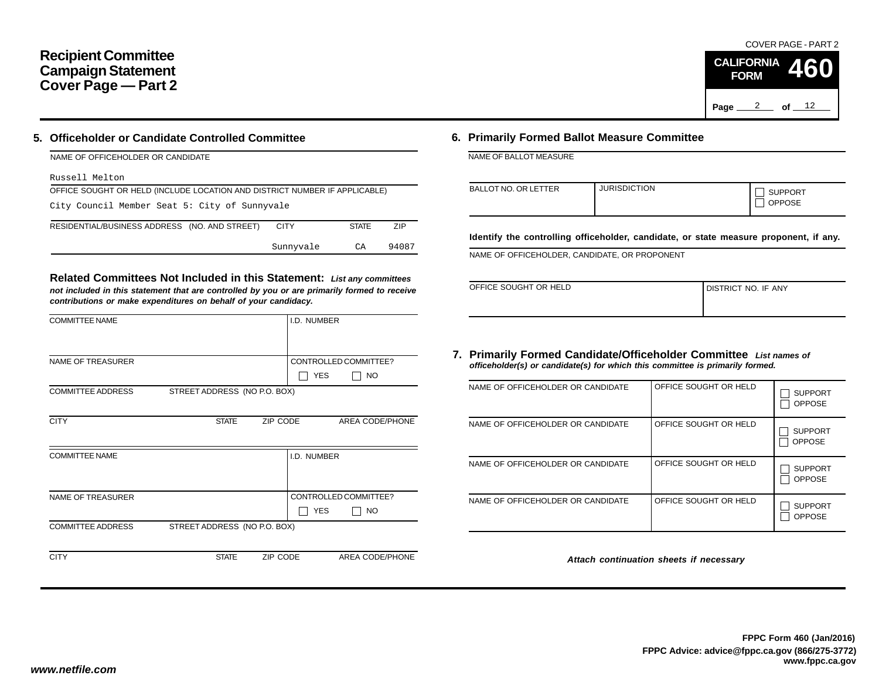## **Recipient Committee Campaign Statement Cover Page — Part 2**

### **5. Officeholder or Candidate Controlled Committee**

| NAME OF OFFICEHOLDER OR CANDIDATE                                          |             |              |       |
|----------------------------------------------------------------------------|-------------|--------------|-------|
| Russell Melton                                                             |             |              |       |
| OFFICE SOUGHT OR HELD (INCLUDE LOCATION AND DISTRICT NUMBER IF APPLICABLE) |             |              |       |
| City Council Member Seat 5: City of Sunnyvale                              |             |              |       |
| RESIDENTIAL/BUSINESS ADDRESS (NO. AND STREET)                              | <b>CITY</b> | <b>STATE</b> | 7IP   |
|                                                                            | Sunnyvale   | CA           | 94087 |

**Related Committees Not Included in this Statement:** *List any committees not included in this statement that are controlled by you or are primarily formed to receive contributions or make expenditures on behalf of your candidacy.*

| <b>COMMITTEE NAME</b>    |                              |          | I.D. NUMBER |                       |
|--------------------------|------------------------------|----------|-------------|-----------------------|
|                          |                              |          |             |                       |
| <b>NAME OF TREASURER</b> |                              |          |             | CONTROLLED COMMITTEE? |
|                          |                              |          | <b>YES</b>  | <b>NO</b>             |
| <b>COMMITTEE ADDRESS</b> | STREET ADDRESS (NO P.O. BOX) |          |             |                       |
|                          |                              |          |             |                       |
| <b>CITY</b>              | <b>STATE</b>                 | ZIP CODE |             | AREA CODE/PHONE       |
|                          |                              |          |             |                       |
| <b>COMMITTEE NAME</b>    |                              |          | I.D. NUMBER |                       |
|                          |                              |          |             |                       |
|                          |                              |          |             |                       |
| <b>NAME OF TREASURER</b> |                              |          |             | CONTROLLED COMMITTEE? |
|                          |                              |          | <b>YES</b>  | NO.                   |
| <b>COMMITTEE ADDRESS</b> | STREET ADDRESS (NO P.O. BOX) |          |             |                       |
|                          |                              |          |             |                       |
| <b>CITY</b>              | <b>STATE</b>                 | ZIP CODE |             | AREA CODE/PHONE       |

## **6. Primarily Formed Ballot Measure Committee**

NAME OF BALLOT MEASURE

| BALLOT NO. OR LETTER | <b>JURISDICTION</b> | <b>SUPPORT</b><br><b>OPPOSE</b> |
|----------------------|---------------------|---------------------------------|
|----------------------|---------------------|---------------------------------|

**Identify the controlling officeholder, candidate, or state measure proponent, if any.**

NAME OF OFFICEHOLDER, CANDIDATE, OR PROPONENT

| OFFICE SOUGHT OR HELD | I DISTRICT NO. IF ANY |
|-----------------------|-----------------------|
|                       |                       |

#### **7. Primarily Formed Candidate/Officeholder Committee** *List names of officeholder(s) or candidate(s) for which this committee is primarily formed.*

| NAME OF OFFICEHOLDER OR CANDIDATE | OFFICE SOUGHT OR HELD | <b>SUPPORT</b><br><b>OPPOSE</b> |
|-----------------------------------|-----------------------|---------------------------------|
| NAME OF OFFICEHOLDER OR CANDIDATE | OFFICE SOUGHT OR HELD | <b>SUPPORT</b><br><b>OPPOSE</b> |
| NAME OF OFFICEHOLDER OR CANDIDATE | OFFICE SOUGHT OR HELD | <b>SUPPORT</b><br><b>OPPOSE</b> |
| NAME OF OFFICEHOLDER OR CANDIDATE | OFFICE SOUGHT OR HELD | <b>SUPPORT</b><br><b>OPPOSE</b> |

*Attach continuation sheets if necessary*

COVER PAGE - PART 2

**460**

Page <u>2</u> of  $12$ 

**CALIFORNIA FORM**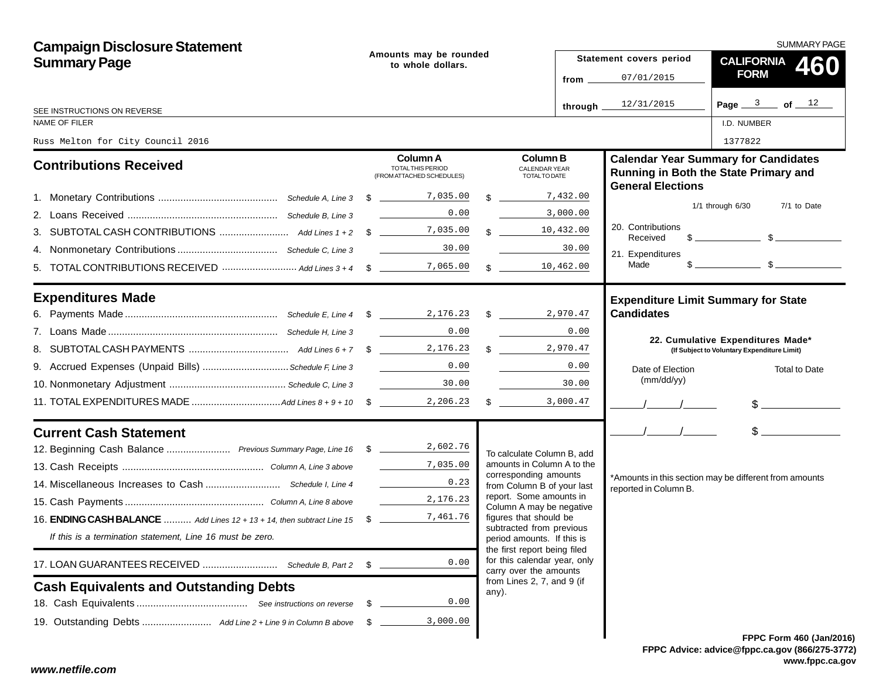| <b>Campaign Disclosure Statement</b>                                            |                                             |                                                                                                                                                                                                                                                                                                                                                                                                                                                    |  |                                                                                        | SUMMARY PAGE                  |                                                                                                                                                                                                                                                                                                                     |  |  |  |
|---------------------------------------------------------------------------------|---------------------------------------------|----------------------------------------------------------------------------------------------------------------------------------------------------------------------------------------------------------------------------------------------------------------------------------------------------------------------------------------------------------------------------------------------------------------------------------------------------|--|----------------------------------------------------------------------------------------|-------------------------------|---------------------------------------------------------------------------------------------------------------------------------------------------------------------------------------------------------------------------------------------------------------------------------------------------------------------|--|--|--|
| <b>Summary Page</b>                                                             | Amounts may be rounded<br>to whole dollars. |                                                                                                                                                                                                                                                                                                                                                                                                                                                    |  |                                                                                        | Statement covers period       |                                                                                                                                                                                                                                                                                                                     |  |  |  |
|                                                                                 |                                             |                                                                                                                                                                                                                                                                                                                                                                                                                                                    |  | from $\overline{\phantom{0}}$                                                          | 07/01/2015                    | CALIFORNIA 460<br><b>FORM</b>                                                                                                                                                                                                                                                                                       |  |  |  |
| SEE INSTRUCTIONS ON REVERSE                                                     |                                             |                                                                                                                                                                                                                                                                                                                                                                                                                                                    |  | through.                                                                               | 12/31/2015                    | Page $3$ of $12$                                                                                                                                                                                                                                                                                                    |  |  |  |
| NAME OF FILER                                                                   |                                             |                                                                                                                                                                                                                                                                                                                                                                                                                                                    |  |                                                                                        |                               | I.D. NUMBER                                                                                                                                                                                                                                                                                                         |  |  |  |
| Russ Melton for City Council 2016                                               |                                             |                                                                                                                                                                                                                                                                                                                                                                                                                                                    |  |                                                                                        |                               | 1377822                                                                                                                                                                                                                                                                                                             |  |  |  |
| <b>Contributions Received</b>                                                   |                                             | <b>Column A</b><br>TOTAL THIS PERIOD<br>(FROM ATTACHED SCHEDULES)                                                                                                                                                                                                                                                                                                                                                                                  |  | <b>Column B</b><br><b>CALENDAR YEAR</b><br><b>TOTALTO DATE</b>                         | <b>General Elections</b>      | <b>Calendar Year Summary for Candidates</b><br>Running in Both the State Primary and                                                                                                                                                                                                                                |  |  |  |
|                                                                                 |                                             |                                                                                                                                                                                                                                                                                                                                                                                                                                                    |  | $\frac{1}{2}$ 7,432.00                                                                 |                               |                                                                                                                                                                                                                                                                                                                     |  |  |  |
|                                                                                 |                                             | 0.00                                                                                                                                                                                                                                                                                                                                                                                                                                               |  | 3,000.00                                                                               |                               | $1/1$ through $6/30$<br>7/1 to Date                                                                                                                                                                                                                                                                                 |  |  |  |
|                                                                                 |                                             |                                                                                                                                                                                                                                                                                                                                                                                                                                                    |  | $\frac{10}{432.00}$                                                                    | 20. Contributions<br>Received | $\frac{1}{2}$ $\frac{1}{2}$ $\frac{1}{2}$ $\frac{1}{2}$ $\frac{1}{2}$ $\frac{1}{2}$ $\frac{1}{2}$ $\frac{1}{2}$ $\frac{1}{2}$ $\frac{1}{2}$ $\frac{1}{2}$ $\frac{1}{2}$ $\frac{1}{2}$ $\frac{1}{2}$ $\frac{1}{2}$ $\frac{1}{2}$ $\frac{1}{2}$ $\frac{1}{2}$ $\frac{1}{2}$ $\frac{1}{2}$ $\frac{1}{2}$ $\frac{1}{2}$ |  |  |  |
|                                                                                 |                                             | 30.00<br><u> 1990 - Jan Stein Stein Stein Stein Stein Stein Stein Stein Stein Stein Stein Stein Stein Stein Stein Stein S</u>                                                                                                                                                                                                                                                                                                                      |  | 30.00                                                                                  | 21. Expenditures              |                                                                                                                                                                                                                                                                                                                     |  |  |  |
|                                                                                 |                                             |                                                                                                                                                                                                                                                                                                                                                                                                                                                    |  | 10,462.00<br>$\mathbb{S}$                                                              | Made                          | $s$ s                                                                                                                                                                                                                                                                                                               |  |  |  |
| <b>Expenditures Made</b>                                                        |                                             |                                                                                                                                                                                                                                                                                                                                                                                                                                                    |  |                                                                                        |                               | <b>Expenditure Limit Summary for State</b>                                                                                                                                                                                                                                                                          |  |  |  |
|                                                                                 |                                             |                                                                                                                                                                                                                                                                                                                                                                                                                                                    |  |                                                                                        | <b>Candidates</b>             |                                                                                                                                                                                                                                                                                                                     |  |  |  |
|                                                                                 |                                             | <u> 1990 - Jan Barnett, politik e</u><br>0.00                                                                                                                                                                                                                                                                                                                                                                                                      |  | <b>Contract Contract Contract</b><br>0.00                                              |                               | 22. Cumulative Expenditures Made*                                                                                                                                                                                                                                                                                   |  |  |  |
|                                                                                 |                                             |                                                                                                                                                                                                                                                                                                                                                                                                                                                    |  | $\frac{1}{2}$ , 970.47                                                                 |                               | (If Subject to Voluntary Expenditure Limit)                                                                                                                                                                                                                                                                         |  |  |  |
| 9. Accrued Expenses (Unpaid Bills) Schedule F, Line 3                           |                                             | 0.00                                                                                                                                                                                                                                                                                                                                                                                                                                               |  | 0.00                                                                                   | Date of Election              | <b>Total to Date</b>                                                                                                                                                                                                                                                                                                |  |  |  |
|                                                                                 |                                             | $\label{eq:2} \begin{split} \frac{1}{\sqrt{2\pi}}\left(\frac{1}{\sqrt{2\pi}}\right)^{1/2}\left(\frac{1}{\sqrt{2\pi}}\right)^{1/2}\left(\frac{1}{\sqrt{2\pi}}\right)^{1/2}\left(\frac{1}{\sqrt{2\pi}}\right)^{1/2}\left(\frac{1}{\sqrt{2\pi}}\right)^{1/2}\left(\frac{1}{\sqrt{2\pi}}\right)^{1/2}\left(\frac{1}{\sqrt{2\pi}}\right)^{1/2}\left(\frac{1}{\sqrt{2\pi}}\right)^{1/2}\left(\frac{1}{\sqrt{2\pi}}\right)^{1/2}\left(\frac{1}{$<br>30.00 |  | 30.00                                                                                  | (mm/dd/yy)                    |                                                                                                                                                                                                                                                                                                                     |  |  |  |
|                                                                                 |                                             |                                                                                                                                                                                                                                                                                                                                                                                                                                                    |  | $\frac{1}{2}$ 3,000.47                                                                 |                               | $\frac{1}{2}$                                                                                                                                                                                                                                                                                                       |  |  |  |
| <b>Current Cash Statement</b>                                                   |                                             |                                                                                                                                                                                                                                                                                                                                                                                                                                                    |  |                                                                                        | $\frac{1}{2}$                 | $\frac{1}{2}$                                                                                                                                                                                                                                                                                                       |  |  |  |
| 12. Beginning Cash Balance  Previous Summary Page, Line 16 \$ 18 2,602.76       |                                             |                                                                                                                                                                                                                                                                                                                                                                                                                                                    |  | To calculate Column B, add                                                             |                               |                                                                                                                                                                                                                                                                                                                     |  |  |  |
|                                                                                 |                                             | $\frac{1}{\sqrt{1-\frac{1}{2}}}\frac{7}{6}$ , 035.00                                                                                                                                                                                                                                                                                                                                                                                               |  | amounts in Column A to the<br>corresponding amounts                                    |                               |                                                                                                                                                                                                                                                                                                                     |  |  |  |
|                                                                                 |                                             | 0.23                                                                                                                                                                                                                                                                                                                                                                                                                                               |  | from Column B of your last                                                             | reported in Column B.         | *Amounts in this section may be different from amounts                                                                                                                                                                                                                                                              |  |  |  |
|                                                                                 |                                             | 2,176.23                                                                                                                                                                                                                                                                                                                                                                                                                                           |  | report. Some amounts in<br>Column A may be negative                                    |                               |                                                                                                                                                                                                                                                                                                                     |  |  |  |
| 16. <b>ENDING CASH BALANCE</b> Add Lines 12 + 13 + 14, then subtract Line 15 \$ |                                             | 7,461.76                                                                                                                                                                                                                                                                                                                                                                                                                                           |  | figures that should be                                                                 |                               |                                                                                                                                                                                                                                                                                                                     |  |  |  |
| If this is a termination statement, Line 16 must be zero.                       |                                             |                                                                                                                                                                                                                                                                                                                                                                                                                                                    |  | subtracted from previous<br>period amounts. If this is<br>the first report being filed |                               |                                                                                                                                                                                                                                                                                                                     |  |  |  |
| 17. LOAN GUARANTEES RECEIVED  Schedule B, Part 2                                | \$                                          | 0.00                                                                                                                                                                                                                                                                                                                                                                                                                                               |  | for this calendar year, only<br>carry over the amounts                                 |                               |                                                                                                                                                                                                                                                                                                                     |  |  |  |
| <b>Cash Equivalents and Outstanding Debts</b>                                   |                                             |                                                                                                                                                                                                                                                                                                                                                                                                                                                    |  | from Lines 2, 7, and 9 (if<br>any).                                                    |                               |                                                                                                                                                                                                                                                                                                                     |  |  |  |
|                                                                                 | \$                                          | 0.00                                                                                                                                                                                                                                                                                                                                                                                                                                               |  |                                                                                        |                               |                                                                                                                                                                                                                                                                                                                     |  |  |  |
|                                                                                 | \$.                                         | 3,000.00                                                                                                                                                                                                                                                                                                                                                                                                                                           |  |                                                                                        |                               |                                                                                                                                                                                                                                                                                                                     |  |  |  |
|                                                                                 |                                             |                                                                                                                                                                                                                                                                                                                                                                                                                                                    |  |                                                                                        |                               | FPPC Form 460 (Jan/201                                                                                                                                                                                                                                                                                              |  |  |  |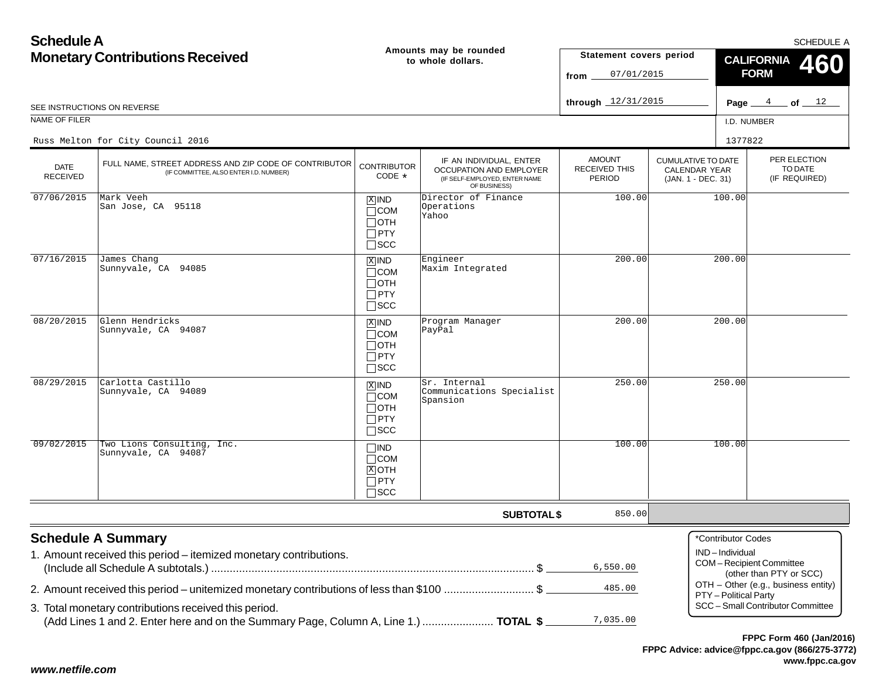| <b>Schedule A</b>                      |                                                                                                                                                   |                                                                    |                                                                                                     |                                                 |                                                                  |                                         | SCHEDULE A                                                               |  |
|----------------------------------------|---------------------------------------------------------------------------------------------------------------------------------------------------|--------------------------------------------------------------------|-----------------------------------------------------------------------------------------------------|-------------------------------------------------|------------------------------------------------------------------|-----------------------------------------|--------------------------------------------------------------------------|--|
| <b>Monetary Contributions Received</b> |                                                                                                                                                   |                                                                    | Amounts may be rounded<br>to whole dollars.                                                         | Statement covers period<br>07/01/2015<br>from   |                                                                  | <b>CALIFORNIA</b><br>460<br><b>FORM</b> |                                                                          |  |
|                                        | SEE INSTRUCTIONS ON REVERSE                                                                                                                       |                                                                    |                                                                                                     | through $12/31/2015$                            |                                                                  |                                         | Page $4$ of $12$                                                         |  |
| NAME OF FILER                          |                                                                                                                                                   |                                                                    |                                                                                                     |                                                 |                                                                  | I.D. NUMBER                             |                                                                          |  |
|                                        | Russ Melton for City Council 2016                                                                                                                 |                                                                    |                                                                                                     |                                                 |                                                                  | 1377822                                 |                                                                          |  |
| DATE<br>RECEIVED                       | FULL NAME, STREET ADDRESS AND ZIP CODE OF CONTRIBUTOR<br>(IF COMMITTEE, ALSO ENTER I.D. NUMBER)                                                   | <b>CONTRIBUTOR</b><br>$CODE *$                                     | IF AN INDIVIDUAL, ENTER<br>OCCUPATION AND EMPLOYER<br>(IF SELF-EMPLOYED, ENTER NAME<br>OF BUSINESS) | <b>AMOUNT</b><br><b>RECEIVED THIS</b><br>PERIOD | <b>CUMULATIVE TO DATE</b><br>CALENDAR YEAR<br>(JAN. 1 - DEC. 31) |                                         | PER ELECTION<br>TO DATE<br>(IF REQUIRED)                                 |  |
| 07/06/2015                             | Mark Veeh<br>San Jose, CA 95118                                                                                                                   | $X$ IND<br>$\Box$ COM<br>$\Box$ OTH<br>$\Box$ PTY<br>$\square$ SCC | Director of Finance<br>Operations<br>Yahoo                                                          | 100.00                                          |                                                                  | 100.00                                  |                                                                          |  |
| 07/16/2015                             | James Chang<br>Sunnyvale, CA 94085                                                                                                                | $X$ IND<br>$\Box$ COM<br>$\Box$ OTH<br>$\Box$ PTY<br>$\square$ SCC | Engineer<br>Maxim Integrated                                                                        | 200.00                                          |                                                                  | 200.00                                  |                                                                          |  |
| 08/20/2015                             | Glenn Hendricks<br>Sunnyvale, CA 94087                                                                                                            | $X$ IND<br>$\Box$ COM<br>$\Box$ OTH<br>$\Box$ PTY<br>$\square$ SCC | Program Manager<br>PayPal                                                                           | 200.00                                          |                                                                  | 200.00                                  |                                                                          |  |
| 08/29/2015                             | Carlotta Castillo<br>Sunnyvale, CA 94089                                                                                                          | $X$ IND<br>$\Box$ COM<br>$\Box$ OTH<br>$\Box$ PTY<br>$\square$ SCC | Sr. Internal<br>Communications Specialist<br>Spansion                                               | 250.00                                          |                                                                  | 250.00                                  |                                                                          |  |
| 09/02/2015                             | Two Lions Consulting, Inc.<br>Sunnyvale, CA 94087                                                                                                 | $\Box$ IND<br>$\Box$ COM<br>$X$ OTH<br>$\Box$ PTY<br>$\square$ SCC |                                                                                                     | 100.00                                          |                                                                  | 100.00                                  |                                                                          |  |
|                                        |                                                                                                                                                   |                                                                    | <b>SUBTOTAL \$</b>                                                                                  | 850.00                                          |                                                                  |                                         |                                                                          |  |
|                                        | <b>Schedule A Summary</b><br>1. Amount received this period - itemized monetary contributions.                                                    |                                                                    |                                                                                                     | 6,550.00                                        |                                                                  | *Contributor Codes<br>IND-Individual    | COM-Recipient Committee<br>(other than PTY or SCC)                       |  |
|                                        | 2. Amount received this period – unitemized monetary contributions of less than \$100 \$<br>3. Total monetary contributions received this period. |                                                                    |                                                                                                     | 485.00                                          |                                                                  | PTY - Political Party                   | OTH - Other (e.g., business entity)<br>SCC - Small Contributor Committee |  |
|                                        | (Add Lines 1 and 2. Enter here and on the Summary Page, Column A, Line 1.)  TOTAL \$                                                              |                                                                    |                                                                                                     | 7,035.00                                        |                                                                  |                                         |                                                                          |  |

## *www.netfile.com*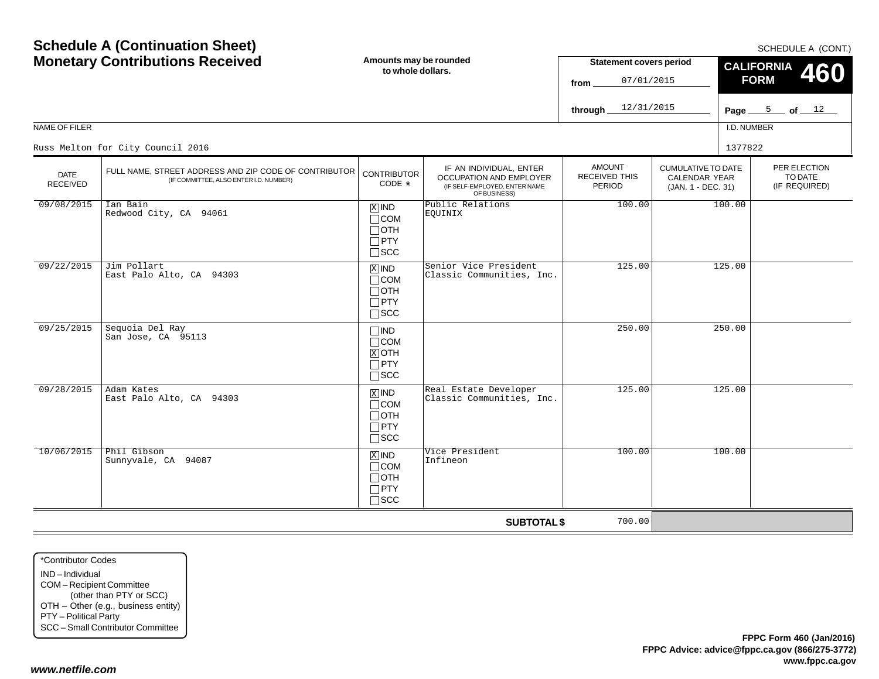| <b>Schedule A (Continuation Sheet)</b><br><b>Monetary Contributions Received</b> |                                                                                                 | Amounts may be rounded<br>to whole dollars.                         |                                                                                                     | <b>Statement covers period</b><br>07/01/2015<br>from | SCHEDULE A (CONT.)<br><b>CALIFORNIA</b><br>460<br><b>FORM</b>           |             |                  |                                          |  |
|----------------------------------------------------------------------------------|-------------------------------------------------------------------------------------------------|---------------------------------------------------------------------|-----------------------------------------------------------------------------------------------------|------------------------------------------------------|-------------------------------------------------------------------------|-------------|------------------|------------------------------------------|--|
|                                                                                  |                                                                                                 |                                                                     |                                                                                                     | 12/31/2015<br>through                                |                                                                         |             | Page $5$ of $12$ |                                          |  |
| NAME OF FILER                                                                    |                                                                                                 |                                                                     |                                                                                                     |                                                      |                                                                         | I.D. NUMBER |                  |                                          |  |
|                                                                                  | Russ Melton for City Council 2016                                                               |                                                                     |                                                                                                     |                                                      |                                                                         | 1377822     |                  |                                          |  |
| <b>DATE</b><br><b>RECEIVED</b>                                                   | FULL NAME, STREET ADDRESS AND ZIP CODE OF CONTRIBUTOR<br>(IF COMMITTEE, ALSO ENTER I.D. NUMBER) | <b>CONTRIBUTOR</b><br>CODE *                                        | IF AN INDIVIDUAL, ENTER<br>OCCUPATION AND EMPLOYER<br>(IF SELF-EMPLOYED, ENTER NAME<br>OF BUSINESS) | <b>AMOUNT</b><br><b>RECEIVED THIS</b><br>PERIOD      | <b>CUMULATIVE TO DATE</b><br><b>CALENDAR YEAR</b><br>(JAN. 1 - DEC. 31) |             |                  | PER ELECTION<br>TO DATE<br>(IF REQUIRED) |  |
| 09/08/2015                                                                       | Ian Bain<br>Redwood City, CA 94061                                                              | $X$ IND<br>$\Box$ COM<br>⊟отн<br>$\Box$ PTY<br>$\square$ SCC        | Public Relations<br>EOUINIX                                                                         | 100.00                                               |                                                                         | 100.00      |                  |                                          |  |
| 09/22/2015                                                                       | Jim Pollart<br>East Palo Alto, CA 94303                                                         | $X$ IND<br>$\Box$ COM<br>$\Box$ OTH<br>$\Box$ PTY<br>$\square$ scc  | Senior Vice President<br>Classic Communities, Inc.                                                  | 125.00                                               |                                                                         | 125.00      |                  |                                          |  |
| 09/25/2015                                                                       | Sequoia Del Ray<br>San Jose, CA 95113                                                           | $\square$ IND<br>$\Box$ COM<br>$X$ OTH<br>$\Box$ PTY<br>$\Box$ scc  |                                                                                                     | 250.00                                               |                                                                         | 250.00      |                  |                                          |  |
| 09/28/2015                                                                       | Adam Kates<br>East Palo Alto, CA 94303                                                          | $X$ IND<br>$\Box$ COM<br>$\Box$ oth<br>$\Box$ PTY<br>$\square$ scc  | Real Estate Developer<br>Classic Communities, Inc.                                                  | 125.00                                               |                                                                         | 125.00      |                  |                                          |  |
| 10/06/2015                                                                       | Phil Gibson<br>Sunnyvale, CA 94087                                                              | $X$ IND<br>$\sqcap$ COM<br>$\Box$ OTH<br>$\Box$ PTY<br>$\sqcap$ SCC | Vice President<br>Infineon                                                                          | 100.00                                               |                                                                         | 100.00      |                  |                                          |  |
|                                                                                  |                                                                                                 |                                                                     | <b>SUBTOTAL \$</b>                                                                                  | 700.00                                               |                                                                         |             |                  |                                          |  |

\*Contributor CodesIND – IndividualCOM – Recipient Committee (other than PTY or SCC) OTH – Other (e.g., business entity) PTY – Political Party SCC – Small Contributor Committee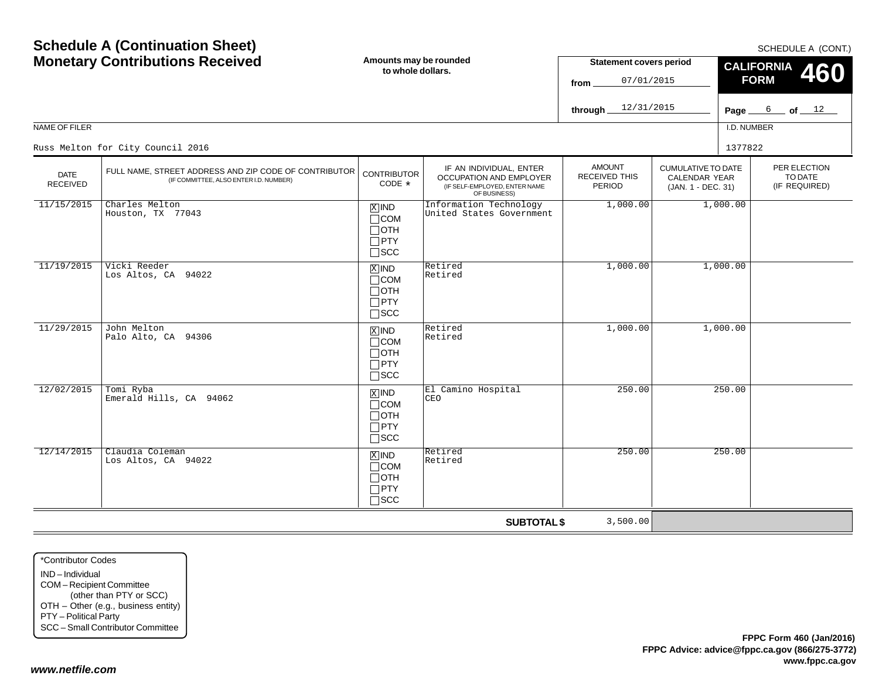SCHEDULE A (CONT.)

| <b>Screage A (Sommadion Sheet)</b><br><b>Monetary Contributions Received</b><br>NAME OF FILER |                                                                                                 | Amounts may be rounded<br>to whole dollars.                                   |                                                                                                            | <b>Statement covers period</b><br>07/01/2015<br>from<br>12/31/2015<br>through. |                                                                         | SCHEDULE A (CONT.)<br><b>CALIFORNIA</b><br>460<br><b>FORM</b><br>$6$ of $12$<br>Page<br>I.D. NUMBER |                                          |  |
|-----------------------------------------------------------------------------------------------|-------------------------------------------------------------------------------------------------|-------------------------------------------------------------------------------|------------------------------------------------------------------------------------------------------------|--------------------------------------------------------------------------------|-------------------------------------------------------------------------|-----------------------------------------------------------------------------------------------------|------------------------------------------|--|
|                                                                                               | Russ Melton for City Council 2016                                                               |                                                                               |                                                                                                            |                                                                                |                                                                         | 1377822                                                                                             |                                          |  |
| <b>DATE</b><br><b>RECEIVED</b>                                                                | FULL NAME, STREET ADDRESS AND ZIP CODE OF CONTRIBUTOR<br>(IF COMMITTEE, ALSO ENTER I.D. NUMBER) | <b>CONTRIBUTOR</b><br>CODE *                                                  | IF AN INDIVIDUAL, ENTER<br><b>OCCUPATION AND EMPLOYER</b><br>(IF SELF-EMPLOYED, ENTER NAME<br>OF BUSINESS) | <b>AMOUNT</b><br><b>RECEIVED THIS</b><br>PERIOD                                | <b>CUMULATIVE TO DATE</b><br><b>CALENDAR YEAR</b><br>(JAN. 1 - DEC. 31) |                                                                                                     | PER ELECTION<br>TO DATE<br>(IF REQUIRED) |  |
| 11/15/2015                                                                                    | Charles Melton<br>Houston, TX 77043                                                             | $X$ IND<br>$\Box$ COM<br>$\Box$ OTH<br>$\Box$ PTY<br>$\Box$ scc               | Information Technology<br>United States Government                                                         | 1,000.00                                                                       |                                                                         | 1,000.00                                                                                            |                                          |  |
| 11/19/2015                                                                                    | Vicki Reeder<br>Los Altos, CA 94022                                                             | $\overline{X}$ IND<br>$\Box$ COM<br>$\Box$ OTH<br>$\Box$ PTY<br>$\square$ SCC | Retired<br>Retired                                                                                         | 1,000.00                                                                       |                                                                         | 1,000.00                                                                                            |                                          |  |
| 11/29/2015                                                                                    | John Melton<br>Palo Alto, CA 94306                                                              | $X$ IND<br>$\Box$ COM<br>$\Box$ OTH<br>$\Box$ PTY<br>$\square$ SCC            | Retired<br>Retired                                                                                         | 1,000.00                                                                       |                                                                         | 1,000.00                                                                                            |                                          |  |
| 12/02/2015                                                                                    | Tomi Ryba<br>Emerald Hills, CA 94062                                                            | $\overline{X}$ IND<br>$\Box$ COM<br>$\Box$ OTH<br>$\Box$ PTY<br>$\square$ SCC | El Camino Hospital<br>CEO                                                                                  | 250.00                                                                         |                                                                         | 250.00                                                                                              |                                          |  |
| 12/14/2015                                                                                    | Claudia Coleman<br>Los Altos, CA 94022                                                          | $X$ IND<br>$\Box$ COM<br>$\Box$ OTH<br>$\Box$ PTY<br>$\Box$ SCC               | Retired<br>Retired                                                                                         | 250.00                                                                         |                                                                         | 250.00                                                                                              |                                          |  |
|                                                                                               |                                                                                                 |                                                                               | <b>SUBTOTAL \$</b>                                                                                         | 3,500.00                                                                       |                                                                         |                                                                                                     |                                          |  |

\*Contributor CodesIND – Individual COM – Recipient Committee (other than PTY or SCC) OTH – Other (e.g., business entity) PTY – Political Party SCC – Small Contributor Committee

**Schedule A (Continuation Sheet)**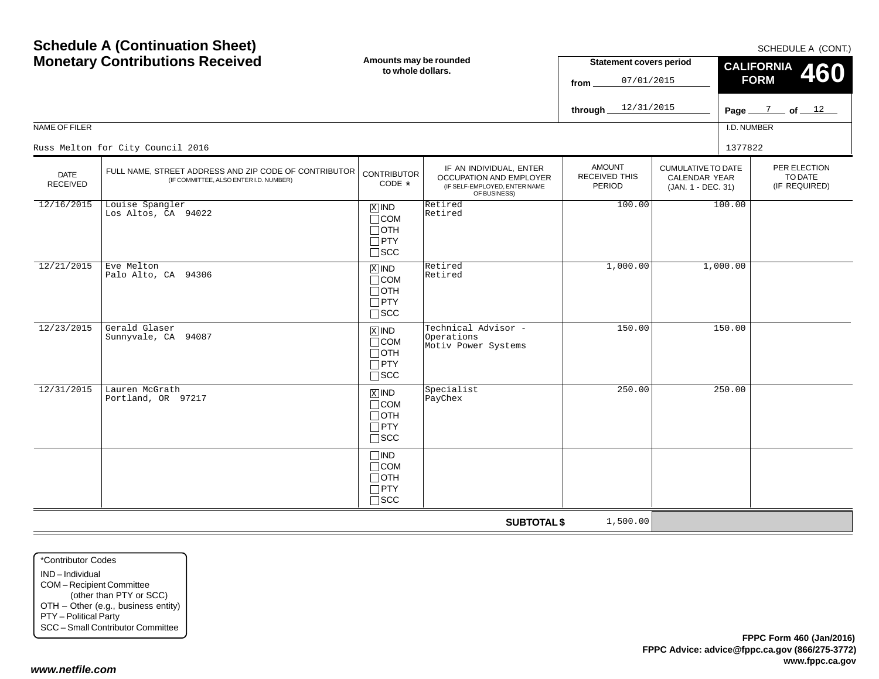SCHEDULE A (CONT)

| <b>Monetary Contributions Received</b> |                                                                                                 | Amounts may be rounded<br>to whole dollars.                            |                                                                                                     | <b>Statement covers period</b><br>07/01/2015<br>from   |                                                                  | CALIFORNIA 460<br><b>FORM</b> |                                          |  |
|----------------------------------------|-------------------------------------------------------------------------------------------------|------------------------------------------------------------------------|-----------------------------------------------------------------------------------------------------|--------------------------------------------------------|------------------------------------------------------------------|-------------------------------|------------------------------------------|--|
|                                        |                                                                                                 |                                                                        |                                                                                                     | 12/31/2015<br>through.                                 |                                                                  |                               | Page $\frac{7}{2}$ of $\frac{12}{2}$     |  |
| NAME OF FILER                          |                                                                                                 |                                                                        |                                                                                                     |                                                        |                                                                  | I.D. NUMBER                   |                                          |  |
|                                        | Russ Melton for City Council 2016                                                               |                                                                        |                                                                                                     |                                                        |                                                                  | 1377822                       |                                          |  |
| <b>DATE</b><br><b>RECEIVED</b>         | FULL NAME, STREET ADDRESS AND ZIP CODE OF CONTRIBUTOR<br>(IF COMMITTEE, ALSO ENTER I.D. NUMBER) | <b>CONTRIBUTOR</b><br>CODE $*$                                         | IF AN INDIVIDUAL, ENTER<br>OCCUPATION AND EMPLOYER<br>(IF SELF-EMPLOYED, ENTER NAME<br>OF BUSINESS) | <b>AMOUNT</b><br><b>RECEIVED THIS</b><br><b>PERIOD</b> | <b>CUMULATIVE TO DATE</b><br>CALENDAR YEAR<br>(JAN. 1 - DEC. 31) |                               | PER ELECTION<br>TO DATE<br>(IF REQUIRED) |  |
| 12/16/2015                             | Louise Spangler<br>Los Altos, CA 94022                                                          | $X$ IND<br>$\Box$ COM<br>$\Box$ OTH<br>$\Box$ PTY<br>$\square$ SCC     | Retired<br>Retired                                                                                  | 100.00                                                 |                                                                  | 100.00                        |                                          |  |
| 12/21/2015                             | Eve Melton<br>Palo Alto, CA 94306                                                               | $X$ IND<br>$\sqcap$ COM<br>$\Box$ OTH<br>$\Box$ PTY<br>$\square$ scc   | Retired<br>Retired                                                                                  | 1,000.00                                               |                                                                  | 1,000.00                      |                                          |  |
| 12/23/2015                             | Gerald Glaser<br>Sunnyvale, CA 94087                                                            | $X$ IND<br>$\Box$ COM<br>⊣отн<br>$\Box$ PTY<br>$\sqsupset$ SCC         | Technical Advisor -<br>Operations<br>Motiv Power Systems                                            | 150.00                                                 |                                                                  | 150.00                        |                                          |  |
| 12/31/2015                             | Lauren McGrath<br>Portland, OR 97217                                                            | $X$ IND<br>$\sqcap$ COM<br>$\Box$ oth<br>$\Box$ PTY<br>$\square$ SCC   | Specialist<br>PayChex                                                                               | 250.00                                                 |                                                                  | 250.00                        |                                          |  |
|                                        |                                                                                                 | $\Box$ IND<br>$\Box$ COM<br>$\sqcap$ OTH<br>$\Box$ PTY<br>$\sqcap$ scc |                                                                                                     |                                                        |                                                                  |                               |                                          |  |
|                                        |                                                                                                 |                                                                        | <b>SUBTOTAL \$</b>                                                                                  | 1,500.00                                               |                                                                  |                               |                                          |  |

\*Contributor CodesIND – Individual COM – Recipient Committee (other than PTY or SCC) OTH – Other (e.g., business entity) PTY – Political Party SCC – Small Contributor Committee

**Schedule A (Continuation Sheet)**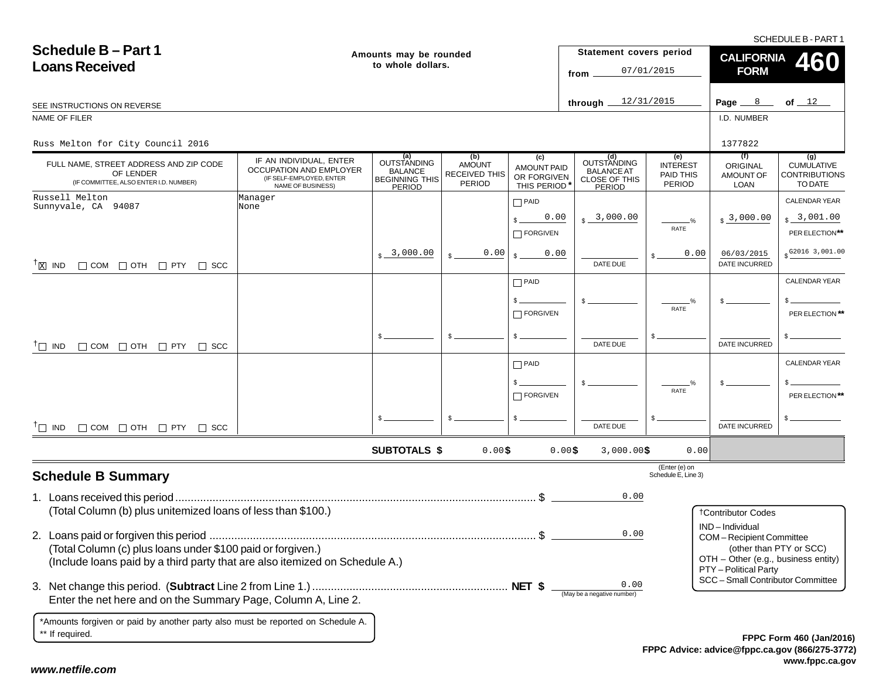SCHEDULE B - PART 1

| <b>Schedule B-Part 1</b><br><b>Loans Received</b>                                                                                          |                                                                                                     | Amounts may be rounded<br>to whole dollars.                             |                                                 |                                                         | Statement covers period<br>from                                    | 07/01/2015                                    | <b>CALIFORNIA</b><br><b>460</b><br><b>FORM</b>                                          |                                                             |  |
|--------------------------------------------------------------------------------------------------------------------------------------------|-----------------------------------------------------------------------------------------------------|-------------------------------------------------------------------------|-------------------------------------------------|---------------------------------------------------------|--------------------------------------------------------------------|-----------------------------------------------|-----------------------------------------------------------------------------------------|-------------------------------------------------------------|--|
| SEE INSTRUCTIONS ON REVERSE                                                                                                                |                                                                                                     |                                                                         |                                                 |                                                         | through $\equiv$                                                   | 12/31/2015                                    | Page $8$                                                                                | of $12$                                                     |  |
| NAME OF FILER                                                                                                                              |                                                                                                     |                                                                         |                                                 |                                                         |                                                                    |                                               | I.D. NUMBER                                                                             |                                                             |  |
| Russ Melton for City Council 2016                                                                                                          |                                                                                                     |                                                                         |                                                 |                                                         |                                                                    |                                               | 1377822                                                                                 |                                                             |  |
| FULL NAME, STREET ADDRESS AND ZIP CODE<br>OF LENDER<br>(IF COMMITTEE, ALSO ENTER I.D. NUMBER)                                              | IF AN INDIVIDUAL, ENTER<br>OCCUPATION AND EMPLOYER<br>(IF SELF-EMPLOYED, ENTER<br>NAME OF BUSINESS) | (a)<br><b>OUTSTANDING</b><br>BALANCE<br><b>BEGINNING THIS</b><br>PERIOD | (b)<br><b>AMOUNT</b><br>RECEIVED THIS<br>PERIOD | (c)<br><b>AMOUNT PAID</b><br>OR FORGIVEN<br>THIS PERIOD | (d)<br>OUTSTANDING<br><b>BALANCE AT</b><br>CLOSE OF THIS<br>PERIOD | (e)<br><b>INTEREST</b><br>PAID THIS<br>PERIOD | (f)<br>ORIGINAL<br>AMOUNT OF<br><b>LOAN</b>                                             | (g)<br><b>CUMULATIVE</b><br><b>CONTRIBUTIONS</b><br>TO DATE |  |
| Russell Melton<br>Sunnyvale, CA 94087                                                                                                      | Manager<br>None                                                                                     |                                                                         |                                                 | $\Box$ PAID                                             |                                                                    |                                               |                                                                                         | <b>CALENDAR YEAR</b>                                        |  |
|                                                                                                                                            |                                                                                                     |                                                                         |                                                 | 0.00<br>FORGIVEN                                        | $s - 3,000.00$                                                     | $\frac{0}{2}$<br>RATE                         | $s3$ ,000.00                                                                            | \$3,001.00<br>PER ELECTION**                                |  |
| $\Box$ COM $\Box$ OTH $\Box$ PTY $\Box$ SCC<br>$T_{\boxed{\text{X}}}$ IND                                                                  |                                                                                                     | $\frac{1}{2}$ 3,000.00                                                  | 0.00                                            | 0.00                                                    | DATE DUE                                                           | 0.00                                          | 06/03/2015<br><b>DATE INCURRED</b>                                                      | $$^{G2016}3,001.00$                                         |  |
|                                                                                                                                            |                                                                                                     |                                                                         |                                                 | $\Box$ PAID                                             |                                                                    |                                               |                                                                                         | <b>CALENDAR YEAR</b>                                        |  |
|                                                                                                                                            |                                                                                                     |                                                                         |                                                 | $\Box$ FORGIVEN                                         |                                                                    | %<br>RATE                                     |                                                                                         | PER ELECTION **                                             |  |
| $\Box$ COM $\Box$ OTH $\Box$ PTY $\Box$ SCC<br>$\top$ IND                                                                                  |                                                                                                     | \$.                                                                     |                                                 |                                                         | DATE DUE                                                           |                                               | DATE INCURRED                                                                           |                                                             |  |
|                                                                                                                                            |                                                                                                     |                                                                         |                                                 | $\Box$ PAID                                             |                                                                    |                                               |                                                                                         | CALENDAR YEAR                                               |  |
|                                                                                                                                            |                                                                                                     |                                                                         |                                                 | $\Box$ FORGIVEN                                         |                                                                    | RATE                                          |                                                                                         | PER ELECTION**                                              |  |
| $^{\dagger}$ IND $\Box$ COM $\Box$ OTH $\Box$ PTY $\Box$ SCC                                                                               |                                                                                                     |                                                                         |                                                 |                                                         | DATE DUE                                                           |                                               | <b>DATE INCURRED</b>                                                                    |                                                             |  |
|                                                                                                                                            |                                                                                                     | <b>SUBTOTALS \$</b>                                                     | 0.00\$                                          |                                                         | 0.00\$<br>$3,000.00$ \$                                            | 0.00                                          |                                                                                         |                                                             |  |
| <b>Schedule B Summary</b>                                                                                                                  |                                                                                                     |                                                                         |                                                 |                                                         |                                                                    | (Enter (e) on<br>Schedule E, Line 3)          |                                                                                         |                                                             |  |
| (Total Column (b) plus unitemized loans of less than \$100.)                                                                               |                                                                                                     |                                                                         |                                                 |                                                         | 0.00                                                               |                                               |                                                                                         |                                                             |  |
|                                                                                                                                            |                                                                                                     |                                                                         |                                                 |                                                         |                                                                    |                                               | <b>†Contributor Codes</b><br>IND-Individual                                             |                                                             |  |
| (Total Column (c) plus loans under \$100 paid or forgiven.)<br>(Include loans paid by a third party that are also itemized on Schedule A.) |                                                                                                     |                                                                         |                                                 |                                                         | 0.00                                                               |                                               | COM-Recipient Committee<br>OTH - Other (e.g., business entity)<br>PTY - Political Party | (other than PTY or SCC)                                     |  |
| Enter the net here and on the Summary Page, Column A, Line 2.                                                                              |                                                                                                     |                                                                         |                                                 |                                                         | 0.00<br>(May be a negative number)                                 |                                               | SCC - Small Contributor Committee                                                       |                                                             |  |
| *Amounts forgiven or paid by another party also must be reported on Schedule A.<br>** If required.                                         |                                                                                                     |                                                                         |                                                 |                                                         |                                                                    |                                               |                                                                                         | EPPC Form 460 (Jan/2010                                     |  |

**FPPC Advice: advice@fppc.ca.gov (866/275-3772) www.fppc.ca.gov FPPC Form 460 (Jan/2016)**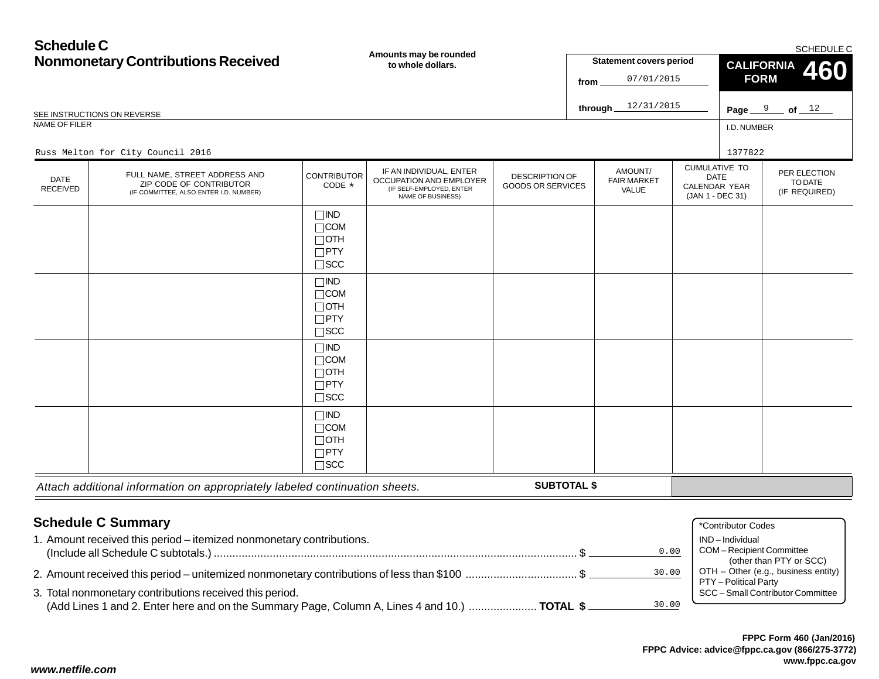| <b>Schedule C</b>              | <b>Nonmonetary Contributions Received</b>                                                          |                                                                       | Amounts may be rounded<br>to whole dollars.                                                         |                                                   | from | <b>Statement covers period</b><br>07/01/2015 |                                                                                 | <b>FORM</b> | SCHEDULE C<br><b>CALIFORNIA</b><br>460   |
|--------------------------------|----------------------------------------------------------------------------------------------------|-----------------------------------------------------------------------|-----------------------------------------------------------------------------------------------------|---------------------------------------------------|------|----------------------------------------------|---------------------------------------------------------------------------------|-------------|------------------------------------------|
|                                | SEE INSTRUCTIONS ON REVERSE                                                                        |                                                                       |                                                                                                     |                                                   |      | 12/31/2015<br>through $\equiv$               |                                                                                 |             | Page $9$ of $12$                         |
| NAME OF FILER                  |                                                                                                    |                                                                       |                                                                                                     |                                                   |      |                                              |                                                                                 | I.D. NUMBER |                                          |
|                                | Russ Melton for City Council 2016                                                                  |                                                                       |                                                                                                     |                                                   |      |                                              |                                                                                 | 1377822     |                                          |
| <b>DATE</b><br><b>RECEIVED</b> | FULL NAME, STREET ADDRESS AND<br>ZIP CODE OF CONTRIBUTOR<br>(IF COMMITTEE, ALSO ENTER I.D. NUMBER) | <b>CONTRIBUTOR</b><br>CODE *                                          | IF AN INDIVIDUAL, ENTER<br>OCCUPATION AND EMPLOYER<br>(IF SELF-EMPLOYED, ENTER<br>NAME OF BUSINESS) | <b>DESCRIPTION OF</b><br><b>GOODS OR SERVICES</b> |      | AMOUNT/<br><b>FAIR MARKET</b><br>VALUE       | <b>CUMULATIVE TO</b><br><b>DATE</b><br><b>CALENDAR YEAR</b><br>(JAN 1 - DEC 31) |             | PER ELECTION<br>TO DATE<br>(IF REQUIRED) |
|                                |                                                                                                    | $\Box$ IND<br>$\Box$ COM<br>$\Box$ OTH<br>$\Box$ PTY<br>$\square$ SCC |                                                                                                     |                                                   |      |                                              |                                                                                 |             |                                          |
|                                |                                                                                                    | $\Box$ IND<br>$\Box$ COM<br>$\Box$ OTH<br>$\Box$ PTY<br>$\square$ SCC |                                                                                                     |                                                   |      |                                              |                                                                                 |             |                                          |
|                                |                                                                                                    | $\Box$ IND<br>$\Box$ COM<br>$\Box$ OTH<br>$\Box$ PTY<br>$\square$ SCC |                                                                                                     |                                                   |      |                                              |                                                                                 |             |                                          |
|                                |                                                                                                    | $\Box$ IND<br>$\Box$ COM<br>$\Box$ OTH                                |                                                                                                     |                                                   |      |                                              |                                                                                 |             |                                          |

| <b>Schedule C Summary</b>                                                                    |       | *Contributor Codes                  |
|----------------------------------------------------------------------------------------------|-------|-------------------------------------|
| 1. Amount received this period – itemized nonmonetary contributions.                         |       | IND-Individual                      |
|                                                                                              | 0.00  | <b>COM-Recipient Committee</b>      |
|                                                                                              |       | (other than PTY or SCC)             |
|                                                                                              | 30.00 | OTH - Other (e.g., business entity) |
|                                                                                              |       | PTY - Political Party               |
| 3. Total nonmonetary contributions received this period.                                     |       | SCC - Small Contributor Committee   |
| (Add Lines 1 and 2. Enter here and on the Summary Page, Column A, Lines 4 and 10.)  TOTAL \$ | 30.00 |                                     |

**SUBTOTAL \$**

(Add Lines 1 and 2. Enter here and on the Summary Page, Column A, Lines 4 and 10.) ...................... **TOTAL \$**

PTY SCC

*Attach additional information on appropriately labeled continuation sheets.*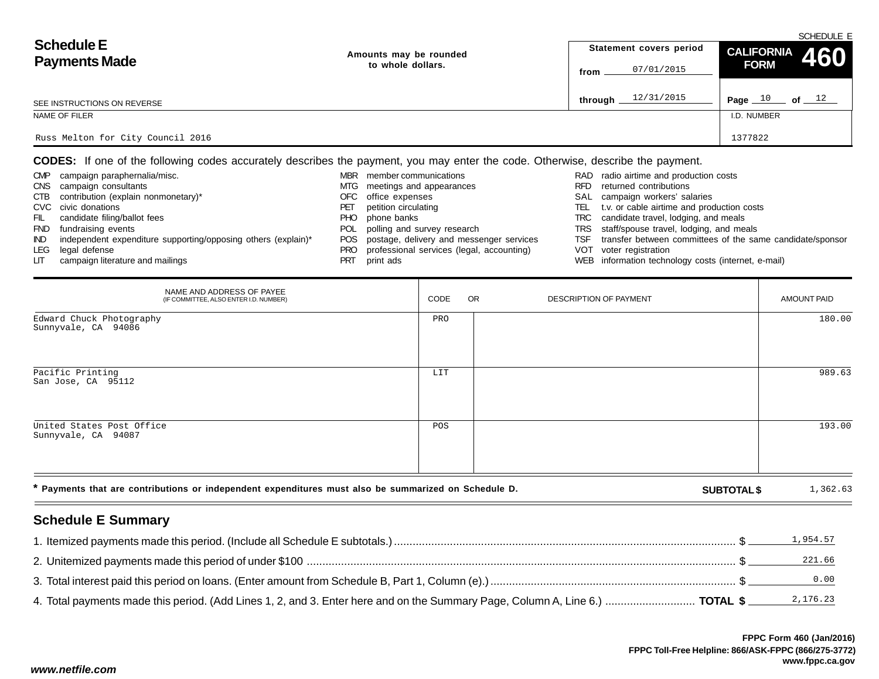| <b>Schedule E</b><br><b>Payments Made</b> | Amounts may be rounded |         | Statement covers period | CALIFORNIA 460 | SUMEDULE E |
|-------------------------------------------|------------------------|---------|-------------------------|----------------|------------|
|                                           | to whole dollars.      | from    | 07/01/2015              | <b>FORM</b>    |            |
| SEE INSTRUCTIONS ON REVERSE               |                        | through | 12/31/2015              | Page $10$      | of $12$    |
| NAME OF FILER                             |                        |         |                         | I.D. NUMBER    |            |
| Russ Melton for City Council 2016         |                        |         |                         | 1377822        |            |

**CODES:** If one of the following codes accurately describes the payment, you may enter the code. Otherwise, describe the payment.

| <b>CMP</b> | campaign paraphernalia/misc.                                  | MBR        | member communications                        |      | RAD radio airtime and production costs                    |
|------------|---------------------------------------------------------------|------------|----------------------------------------------|------|-----------------------------------------------------------|
| <b>CNS</b> | campaign consultants                                          |            | MTG meetings and appearances                 | RFD. | returned contributions                                    |
| CTB        | contribution (explain nonmonetary)*                           |            | OFC office expenses                          |      | SAL campaign workers' salaries                            |
|            | CVC civic donations                                           |            | petition circulating                         | TEL  | t.v. or cable airtime and production costs                |
| FIL        | candidate filing/ballot fees                                  | PHO.       | phone banks                                  |      | TRC candidate travel, lodging, and meals                  |
| <b>FND</b> | fundraising events                                            | <b>POL</b> | polling and survey research                  |      | TRS staff/spouse travel, lodging, and meals               |
| IND.       | independent expenditure supporting/opposing others (explain)* |            | POS postage, delivery and messenger services | TSF  | transfer between committees of the same candidate/sponsor |
| LEG        | legal defense                                                 | PRO        | professional services (legal, accounting)    |      | VOT voter registration                                    |
| LIT.       | campaign literature and mailings                              |            | print ads                                    |      | WEB information technology costs (internet, e-mail)       |

| NAME AND ADDRESS OF PAYEE<br>(IF COMMITTEE, ALSO ENTER I.D. NUMBER)                                  | CODE | <b>OR</b> | DESCRIPTION OF PAYMENT |                    | AMOUNT PAID |
|------------------------------------------------------------------------------------------------------|------|-----------|------------------------|--------------------|-------------|
| Edward Chuck Photography<br>Sunnyvale, CA 94086                                                      | PRO  |           |                        |                    | 180.00      |
| Pacific Printing<br>San Jose, CA 95112                                                               | LIT  |           |                        |                    | 989.63      |
| United States Post Office<br>Sunnyvale, CA 94087                                                     | POS  |           |                        |                    | 193.00      |
| * Payments that are contributions or independent expenditures must also be summarized on Schedule D. |      |           |                        | <b>SUBTOTAL \$</b> | 1,362.63    |

# **Schedule E Summary**

|                                                                                                                              | 1,954.57 |
|------------------------------------------------------------------------------------------------------------------------------|----------|
|                                                                                                                              | 221.66   |
|                                                                                                                              | 0.00     |
| 4. Total payments made this period. (Add Lines 1, 2, and 3. Enter here and on the Summary Page, Column A, Line 6.)  TOTAL \$ | 2,176.23 |

SCHEDULE E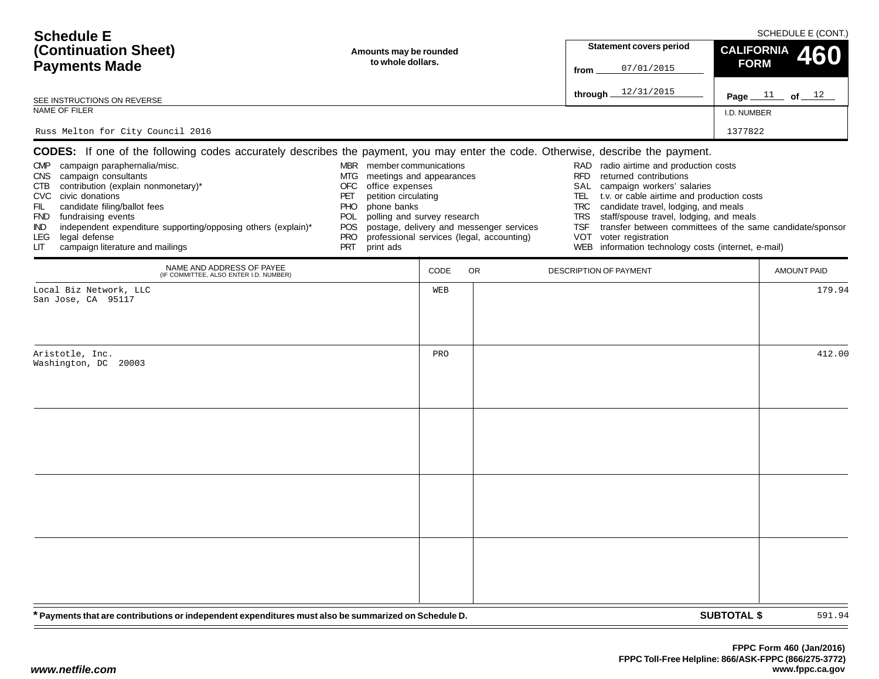| <b>Schedule E</b>                                                                                                                                                                                                                                                                                                                               |                                                                                                                                                                                                                                            |      |                                                                                       |                                                                                                                                                                                                                                                                                                                                                                                                                                                                | SCHEDULE E (CONT.)       |        |
|-------------------------------------------------------------------------------------------------------------------------------------------------------------------------------------------------------------------------------------------------------------------------------------------------------------------------------------------------|--------------------------------------------------------------------------------------------------------------------------------------------------------------------------------------------------------------------------------------------|------|---------------------------------------------------------------------------------------|----------------------------------------------------------------------------------------------------------------------------------------------------------------------------------------------------------------------------------------------------------------------------------------------------------------------------------------------------------------------------------------------------------------------------------------------------------------|--------------------------|--------|
| (Continuation Sheet)                                                                                                                                                                                                                                                                                                                            | Amounts may be rounded                                                                                                                                                                                                                     |      |                                                                                       | <b>Statement covers period</b>                                                                                                                                                                                                                                                                                                                                                                                                                                 | <b>CALIFORNIA</b><br>460 |        |
| <b>Payments Made</b>                                                                                                                                                                                                                                                                                                                            | to whole dollars.                                                                                                                                                                                                                          |      |                                                                                       | 07/01/2015<br>from                                                                                                                                                                                                                                                                                                                                                                                                                                             | <b>FORM</b>              |        |
| SEE INSTRUCTIONS ON REVERSE                                                                                                                                                                                                                                                                                                                     |                                                                                                                                                                                                                                            |      |                                                                                       | 12/31/2015<br>through                                                                                                                                                                                                                                                                                                                                                                                                                                          | Page $11$ of $12$        |        |
| NAME OF FILER                                                                                                                                                                                                                                                                                                                                   |                                                                                                                                                                                                                                            |      |                                                                                       |                                                                                                                                                                                                                                                                                                                                                                                                                                                                | I.D. NUMBER              |        |
| Russ Melton for City Council 2016                                                                                                                                                                                                                                                                                                               |                                                                                                                                                                                                                                            |      |                                                                                       |                                                                                                                                                                                                                                                                                                                                                                                                                                                                | 1377822                  |        |
| <b>CODES:</b> If one of the following codes accurately describes the payment, you may enter the code. Otherwise, describe the payment.                                                                                                                                                                                                          |                                                                                                                                                                                                                                            |      |                                                                                       |                                                                                                                                                                                                                                                                                                                                                                                                                                                                |                          |        |
| CMP campaign paraphernalia/misc.<br>CNS campaign consultants<br>contribution (explain nonmonetary)*<br>CTB<br>CVC civic donations<br>candidate filing/ballot fees<br>FIL<br>FND fundraising events<br>independent expenditure supporting/opposing others (explain)*<br>IND.<br>legal defense<br>LEG.<br>campaign literature and mailings<br>LIТ | MBR member communications<br>MTG<br>meetings and appearances<br><b>OFC</b><br>office expenses<br>petition circulating<br>PET<br>phone banks<br>PHO.<br>polling and survey research<br>POL<br>POS.<br><b>PRO</b><br><b>PRT</b><br>print ads |      | postage, delivery and messenger services<br>professional services (legal, accounting) | RAD radio airtime and production costs<br><b>RFD</b><br>returned contributions<br>SAL<br>campaign workers' salaries<br>t.v. or cable airtime and production costs<br>TEL.<br><b>TRC</b><br>candidate travel, lodging, and meals<br>staff/spouse travel, lodging, and meals<br><b>TRS</b><br>transfer between committees of the same candidate/sponsor<br><b>TSF</b><br><b>VOT</b><br>voter registration<br>WEB information technology costs (internet, e-mail) |                          |        |
| NAME AND ADDRESS OF PAYEE<br>(IF COMMITTEE, ALSO ENTER I.D. NUMBER)                                                                                                                                                                                                                                                                             |                                                                                                                                                                                                                                            | CODE | <b>OR</b>                                                                             | DESCRIPTION OF PAYMENT                                                                                                                                                                                                                                                                                                                                                                                                                                         | <b>AMOUNT PAID</b>       |        |
| Local Biz Network, LLC<br>San Jose, CA 95117                                                                                                                                                                                                                                                                                                    |                                                                                                                                                                                                                                            | WEB  |                                                                                       |                                                                                                                                                                                                                                                                                                                                                                                                                                                                |                          | 179.94 |
| Aristotle, Inc.<br>Washington, DC 20003                                                                                                                                                                                                                                                                                                         |                                                                                                                                                                                                                                            | PRO  |                                                                                       |                                                                                                                                                                                                                                                                                                                                                                                                                                                                |                          | 412.00 |
| * Payments that are contributions or independent expenditures must also be summarized on Schedule D.                                                                                                                                                                                                                                            |                                                                                                                                                                                                                                            |      |                                                                                       |                                                                                                                                                                                                                                                                                                                                                                                                                                                                | <b>SUBTOTAL \$</b>       | 591.94 |